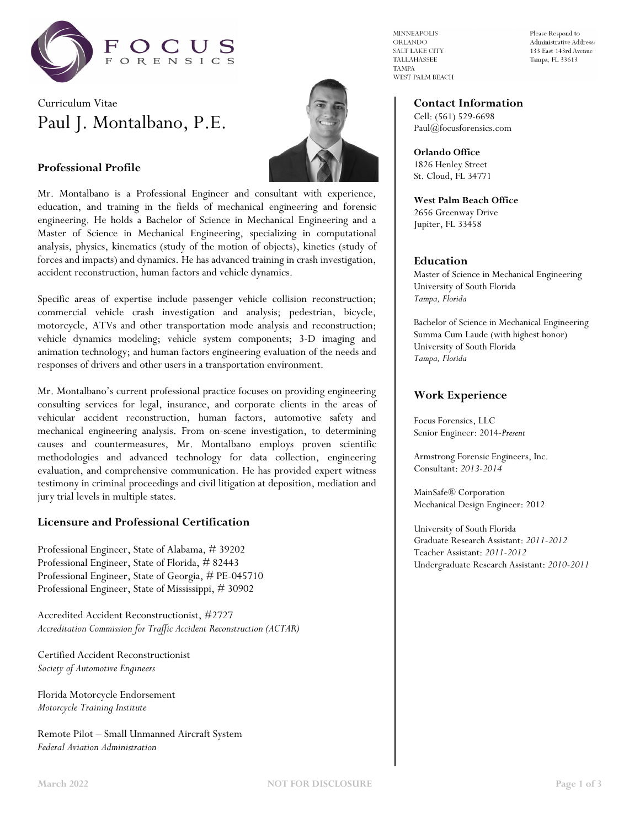

# Curriculum Vitae Paul J. Montalbano, P.E.



# **Professional Profile**

Mr. Montalbano is a Professional Engineer and consultant with experience, education, and training in the fields of mechanical engineering and forensic engineering. He holds a Bachelor of Science in Mechanical Engineering and a Master of Science in Mechanical Engineering, specializing in computational analysis, physics, kinematics (study of the motion of objects), kinetics (study of forces and impacts) and dynamics. He has advanced training in crash investigation, accident reconstruction, human factors and vehicle dynamics.

Specific areas of expertise include passenger vehicle collision reconstruction; commercial vehicle crash investigation and analysis; pedestrian, bicycle, motorcycle, ATVs and other transportation mode analysis and reconstruction; vehicle dynamics modeling; vehicle system components; 3-D imaging and animation technology; and human factors engineering evaluation of the needs and responses of drivers and other users in a transportation environment.

Mr. Montalbano's current professional practice focuses on providing engineering consulting services for legal, insurance, and corporate clients in the areas of vehicular accident reconstruction, human factors, automotive safety and mechanical engineering analysis. From on-scene investigation, to determining causes and countermeasures, Mr. Montalbano employs proven scientific methodologies and advanced technology for data collection, engineering evaluation, and comprehensive communication. He has provided expert witness testimony in criminal proceedings and civil litigation at deposition, mediation and jury trial levels in multiple states.

#### **Licensure and Professional Certification**

Professional Engineer, State of Alabama, # 39202 Professional Engineer, State of Florida, # 82443 Professional Engineer, State of Georgia, # PE-045710 Professional Engineer, State of Mississippi, # 30902

Accredited Accident Reconstructionist, #2727 *Accreditation Commission for Traffic Accident Reconstruction (ACTAR)*

Certified Accident Reconstructionist *Society of Automotive Engineers*

Florida Motorcycle Endorsement *Motorcycle Training Institute*

Remote Pilot – Small Unmanned Aircraft System *Federal Aviation Administration*

**MINNEAPOLIS** ORLANDO SALT LAKE CITY TALLAHASSEE **TAMPA** WEST PALM BEACH

Please Respond to Administrative Address: 133 East 143rd Avenue Tampa, FL 33613

#### **Contact Information**

Cell: (561) 529-6698 Paul@focusforensics.com

**Orlando Office** 1826 Henley Street St. Cloud, FL 34771

**West Palm Beach Office** 2656 Greenway Drive Jupiter, FL 33458

#### **Education**

Master of Science in Mechanical Engineering University of South Florida *Tampa, Florida*

Bachelor of Science in Mechanical Engineering Summa Cum Laude (with highest honor) University of South Florida *Tampa, Florida*

#### **Work Experience**

Focus Forensics, LLC Senior Engineer: 2014-*Present*

Armstrong Forensic Engineers, Inc. Consultant: *2013-2014*

MainSafe® Corporation Mechanical Design Engineer: 2012

University of South Florida Graduate Research Assistant: *2011-2012* Teacher Assistant: *2011-2012* Undergraduate Research Assistant: *2010-2011*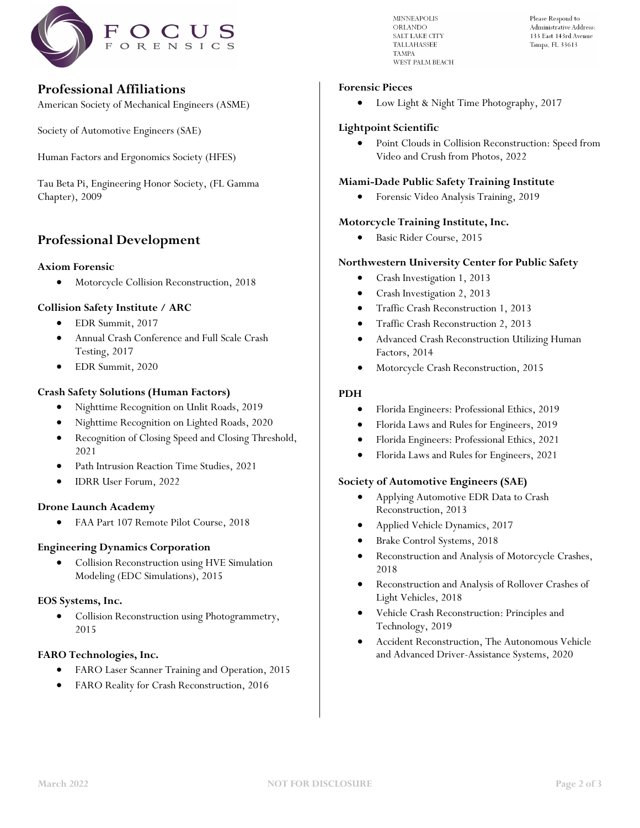

# **Professional Affiliations**

American Society of Mechanical Engineers (ASME)

Society of Automotive Engineers (SAE)

Human Factors and Ergonomics Society (HFES)

Tau Beta Pi, Engineering Honor Society, (FL Gamma Chapter), 2009

# **Professional Development**

#### **Axiom Forensic**

• Motorcycle Collision Reconstruction, 2018

# **Collision Safety Institute / ARC**

- EDR Summit, 2017
- Annual Crash Conference and Full Scale Crash Testing, 2017
- EDR Summit, 2020

# **Crash Safety Solutions (Human Factors)**

- Nighttime Recognition on Unlit Roads, 2019
- Nighttime Recognition on Lighted Roads, 2020
- Recognition of Closing Speed and Closing Threshold, 2021
- Path Intrusion Reaction Time Studies, 2021
- IDRR User Forum, 2022

#### **Drone Launch Academy**

• FAA Part 107 Remote Pilot Course, 2018

#### **Engineering Dynamics Corporation**

• Collision Reconstruction using HVE Simulation Modeling (EDC Simulations), 2015

#### **EOS Systems, Inc.**

• Collision Reconstruction using Photogrammetry, 2015

#### **FARO Technologies, Inc.**

- FARO Laser Scanner Training and Operation, 2015
- FARO Reality for Crash Reconstruction, 2016

**MINNEAPOLIS** ORLANDO SALT LAKE CITY **TALLAHASSEE TAMPA** WEST PALM REACH Please Respond to Administrative Address 133 East 143rd Avenue Tampa, FL 33613

#### **Forensic Pieces**

• Low Light & Night Time Photography, 2017

#### **Lightpoint Scientific**

• Point Clouds in Collision Reconstruction: Speed from Video and Crush from Photos, 2022

#### **Miami-Dade Public Safety Training Institute**

• Forensic Video Analysis Training, 2019

# **Motorcycle Training Institute, Inc.**

• Basic Rider Course, 2015

# **Northwestern University Center for Public Safety**

- Crash Investigation 1, 2013
- Crash Investigation 2, 2013
- Traffic Crash Reconstruction 1, 2013
- Traffic Crash Reconstruction 2, 2013
- Advanced Crash Reconstruction Utilizing Human Factors, 2014
- Motorcycle Crash Reconstruction, 2015

# **PDH**

- Florida Engineers: Professional Ethics, 2019
- Florida Laws and Rules for Engineers, 2019
- Florida Engineers: Professional Ethics, 2021
- Florida Laws and Rules for Engineers, 2021

#### **Society of Automotive Engineers (SAE)**

- Applying Automotive EDR Data to Crash Reconstruction, 2013
- Applied Vehicle Dynamics, 2017
- Brake Control Systems, 2018
- Reconstruction and Analysis of Motorcycle Crashes, 2018
- Reconstruction and Analysis of Rollover Crashes of Light Vehicles, 2018
- Vehicle Crash Reconstruction: Principles and Technology, 2019
- Accident Reconstruction, The Autonomous Vehicle and Advanced Driver-Assistance Systems, 2020